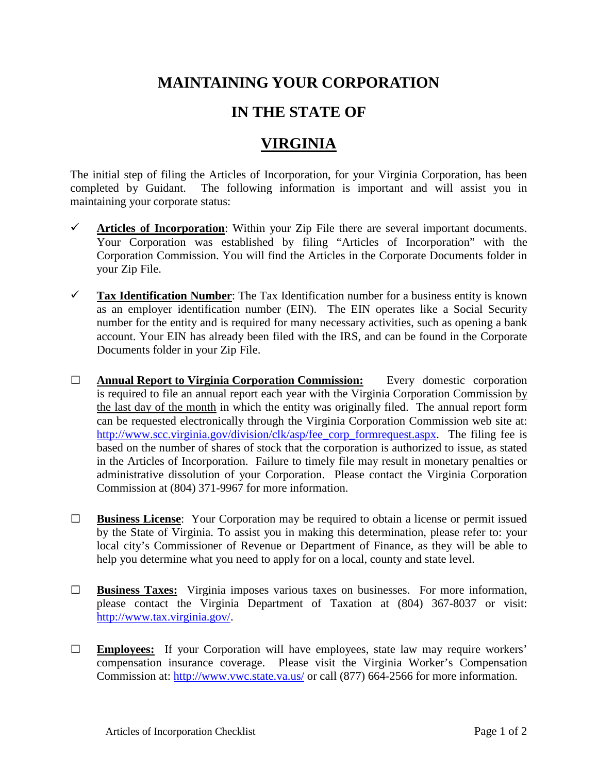## **MAINTAINING YOUR CORPORATION**

## **IN THE STATE OF**

## **VIRGINIA**

The initial step of filing the Articles of Incorporation, for your Virginia Corporation, has been completed by Guidant. The following information is important and will assist you in maintaining your corporate status:

- $\checkmark$  Articles of Incorporation: Within your Zip File there are several important documents. Your Corporation was established by filing "Articles of Incorporation" with the Corporation Commission. You will find the Articles in the Corporate Documents folder in your Zip File.
- **Tax Identification Number**: The Tax Identification number for a business entity is known as an employer identification number (EIN). The EIN operates like a Social Security number for the entity and is required for many necessary activities, such as opening a bank account. Your EIN has already been filed with the IRS, and can be found in the Corporate Documents folder in your Zip File.
- **□ Annual Report to Virginia Corporation Commission:** Every domestic corporation is required to file an annual report each year with the Virginia Corporation Commission by the last day of the month in which the entity was originally filed. The annual report form can be requested electronically through the Virginia Corporation Commission web site at: [http://www.scc.virginia.gov/division/clk/asp/fee\\_corp\\_formrequest.aspx.](http://www.scc.virginia.gov/division/clk/asp/fee_corp_formrequest.aspx) The filing fee is based on the number of shares of stock that the corporation is authorized to issue, as stated in the Articles of Incorporation. Failure to timely file may result in monetary penalties or administrative dissolution of your Corporation. Please contact the Virginia Corporation Commission at (804) 371-9967 for more information.
- **□ Business License**: Your Corporation may be required to obtain a license or permit issued by the State of Virginia. To assist you in making this determination, please refer to: your local city's Commissioner of Revenue or Department of Finance, as they will be able to help you determine what you need to apply for on a local, county and state level.
- **□ Business Taxes:** Virginia imposes various taxes on businesses. For more information, please contact the Virginia Department of Taxation at (804) 367-8037 or visit: [http://www.tax.virginia.gov/.](http://www.tax.virginia.gov/)
- **□ Employees:** If your Corporation will have employees, state law may require workers' compensation insurance coverage. Please visit the Virginia Worker's Compensation Commission at:<http://www.vwc.state.va.us/> or call (877) 664-2566 for more information.